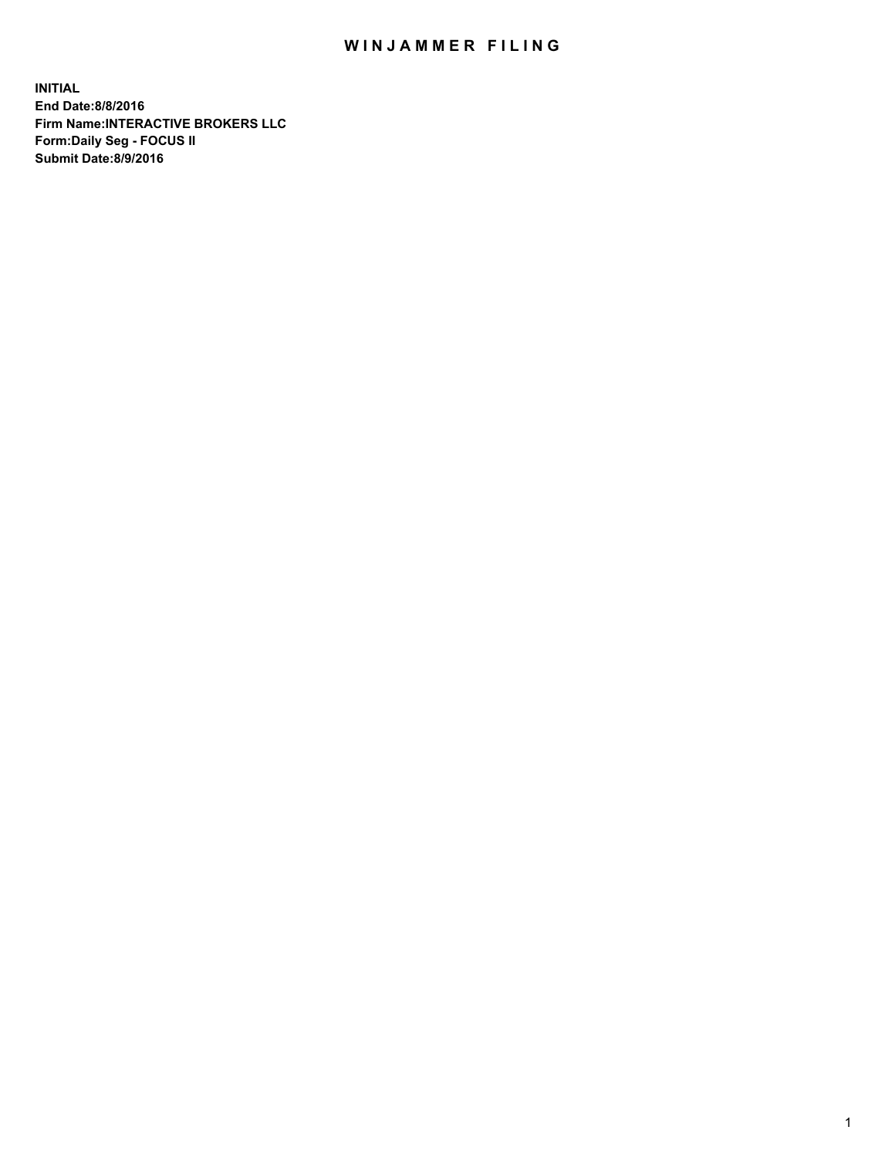## WIN JAMMER FILING

**INITIAL End Date:8/8/2016 Firm Name:INTERACTIVE BROKERS LLC Form:Daily Seg - FOCUS II Submit Date:8/9/2016**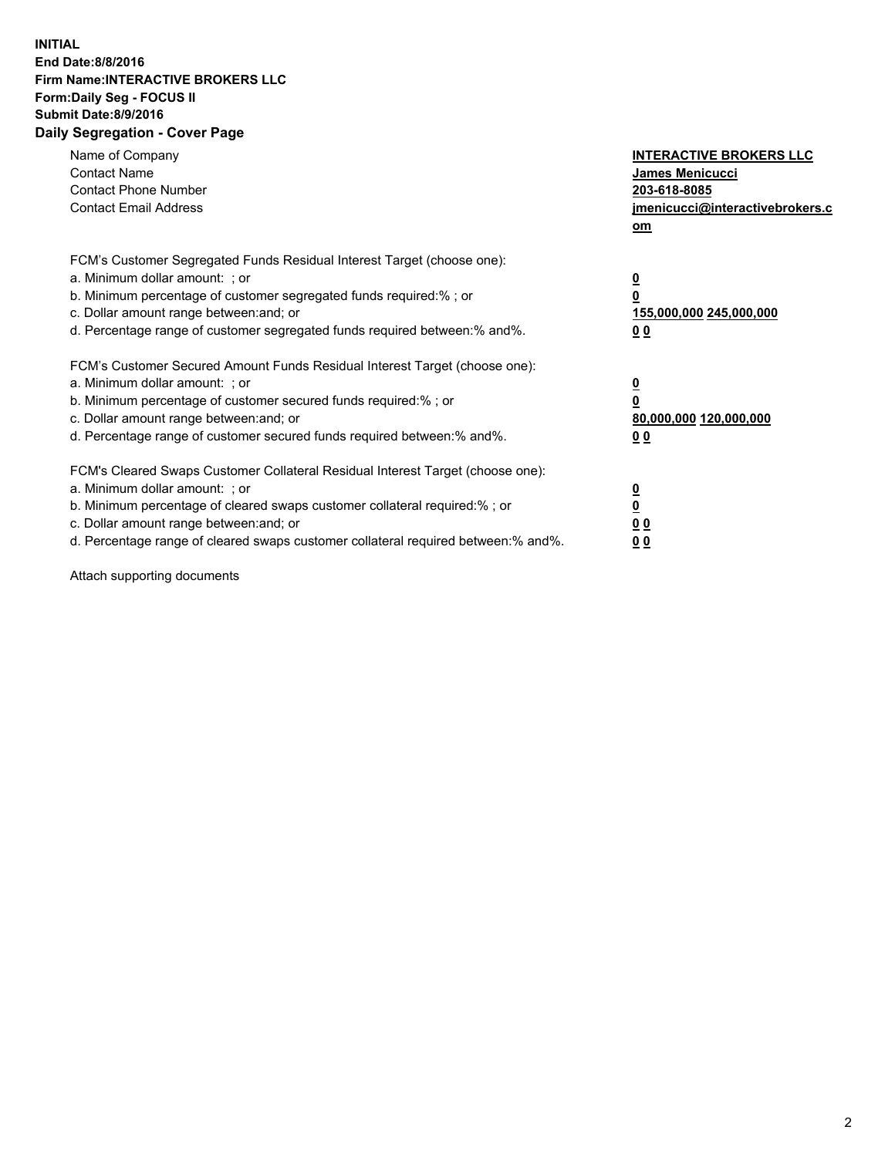## **INITIAL End Date:8/8/2016 Firm Name:INTERACTIVE BROKERS LLC Form:Daily Seg - FOCUS II Submit Date:8/9/2016 Daily Segregation - Cover Page**

| Name of Company<br><b>Contact Name</b><br><b>Contact Phone Number</b><br><b>Contact Email Address</b>                                                                                                                                                                                                                          | <b>INTERACTIVE BROKERS LLC</b><br><b>James Menicucci</b><br>203-618-8085<br>jmenicucci@interactivebrokers.c<br>om |
|--------------------------------------------------------------------------------------------------------------------------------------------------------------------------------------------------------------------------------------------------------------------------------------------------------------------------------|-------------------------------------------------------------------------------------------------------------------|
| FCM's Customer Segregated Funds Residual Interest Target (choose one):<br>a. Minimum dollar amount: ; or<br>b. Minimum percentage of customer segregated funds required:% ; or<br>c. Dollar amount range between: and; or<br>d. Percentage range of customer segregated funds required between: % and %.                       | $\overline{\mathbf{0}}$<br>0<br>155,000,000 245,000,000<br>00                                                     |
| FCM's Customer Secured Amount Funds Residual Interest Target (choose one):<br>a. Minimum dollar amount: ; or<br>b. Minimum percentage of customer secured funds required:%; or<br>c. Dollar amount range between: and; or<br>d. Percentage range of customer secured funds required between: % and %.                          | $\overline{\mathbf{0}}$<br>0<br>80,000,000 120,000,000<br>0 <sub>0</sub>                                          |
| FCM's Cleared Swaps Customer Collateral Residual Interest Target (choose one):<br>a. Minimum dollar amount: ; or<br>b. Minimum percentage of cleared swaps customer collateral required:% ; or<br>c. Dollar amount range between: and; or<br>d. Percentage range of cleared swaps customer collateral required between:% and%. | $\overline{\mathbf{0}}$<br>$\underline{\mathbf{0}}$<br>0 <sub>0</sub><br>0 <sub>0</sub>                           |

Attach supporting documents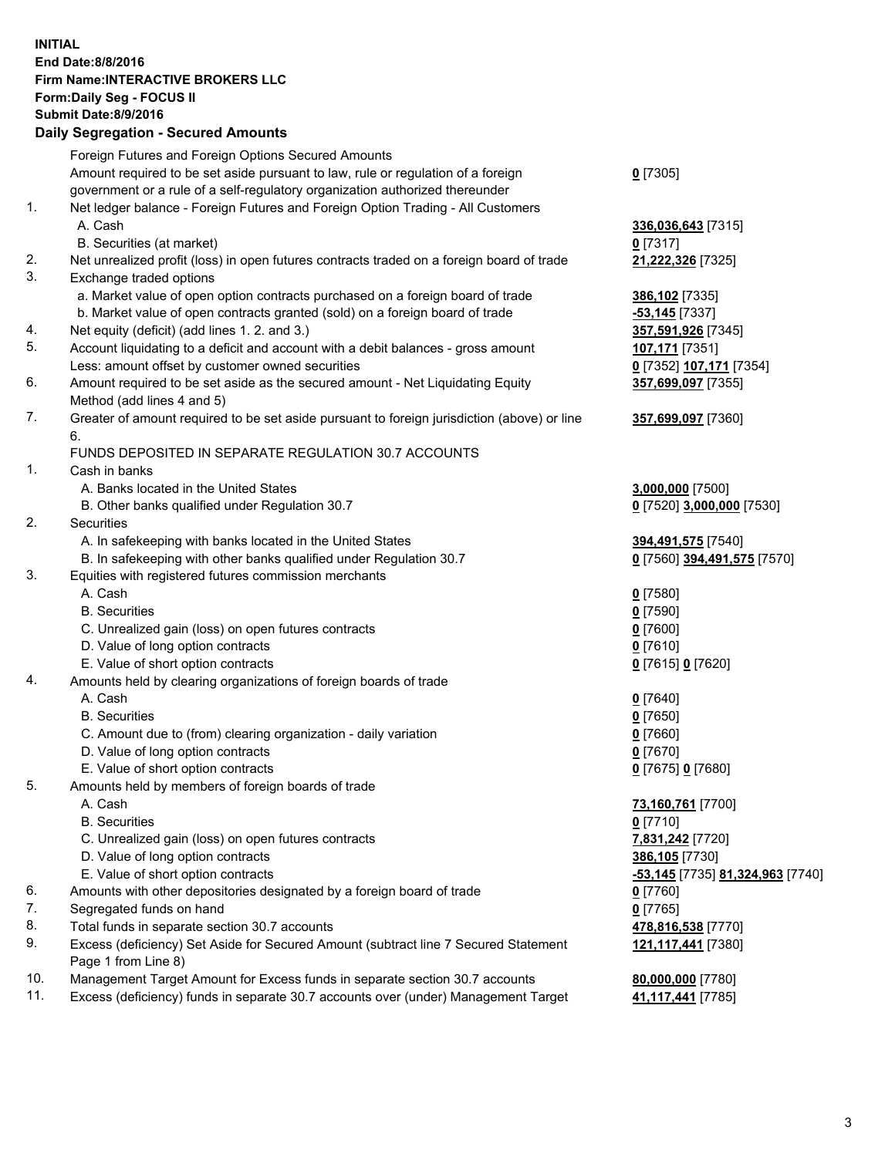## **INITIAL End Date:8/8/2016 Firm Name:INTERACTIVE BROKERS LLC Form:Daily Seg - FOCUS II Submit Date:8/9/2016 Daily Segregation - Secured Amounts**

|     | Foreign Futures and Foreign Options Secured Amounts                                         |                                  |
|-----|---------------------------------------------------------------------------------------------|----------------------------------|
|     | Amount required to be set aside pursuant to law, rule or regulation of a foreign            | $0$ [7305]                       |
|     | government or a rule of a self-regulatory organization authorized thereunder                |                                  |
| 1.  | Net ledger balance - Foreign Futures and Foreign Option Trading - All Customers             |                                  |
|     | A. Cash                                                                                     | 336,036,643 [7315]               |
|     | B. Securities (at market)                                                                   | $0$ [7317]                       |
| 2.  | Net unrealized profit (loss) in open futures contracts traded on a foreign board of trade   | 21,222,326 [7325]                |
| 3.  | Exchange traded options                                                                     |                                  |
|     | a. Market value of open option contracts purchased on a foreign board of trade              | 386,102 [7335]                   |
|     | b. Market value of open contracts granted (sold) on a foreign board of trade                | $-53,145$ [7337]                 |
| 4.  | Net equity (deficit) (add lines 1.2. and 3.)                                                | 357,591,926 [7345]               |
| 5.  | Account liquidating to a deficit and account with a debit balances - gross amount           | 107,171 [7351]                   |
|     | Less: amount offset by customer owned securities                                            | 0 [7352] 107,171 [7354]          |
| 6.  | Amount required to be set aside as the secured amount - Net Liquidating Equity              |                                  |
|     |                                                                                             | 357,699,097 [7355]               |
|     | Method (add lines 4 and 5)                                                                  |                                  |
| 7.  | Greater of amount required to be set aside pursuant to foreign jurisdiction (above) or line | 357,699,097 [7360]               |
|     | 6.                                                                                          |                                  |
|     | FUNDS DEPOSITED IN SEPARATE REGULATION 30.7 ACCOUNTS                                        |                                  |
| 1.  | Cash in banks                                                                               |                                  |
|     | A. Banks located in the United States                                                       | 3,000,000 [7500]                 |
|     | B. Other banks qualified under Regulation 30.7                                              | 0 [7520] 3,000,000 [7530]        |
| 2.  | Securities                                                                                  |                                  |
|     | A. In safekeeping with banks located in the United States                                   | 394,491,575 [7540]               |
|     | B. In safekeeping with other banks qualified under Regulation 30.7                          | 0 [7560] 394,491,575 [7570]      |
| 3.  | Equities with registered futures commission merchants                                       |                                  |
|     | A. Cash                                                                                     | $0$ [7580]                       |
|     | <b>B.</b> Securities                                                                        | $0$ [7590]                       |
|     | C. Unrealized gain (loss) on open futures contracts                                         | $0$ [7600]                       |
|     | D. Value of long option contracts                                                           | $0$ [7610]                       |
|     | E. Value of short option contracts                                                          | 0 [7615] 0 [7620]                |
| 4.  | Amounts held by clearing organizations of foreign boards of trade                           |                                  |
|     | A. Cash                                                                                     | $0$ [7640]                       |
|     | <b>B.</b> Securities                                                                        | $0$ [7650]                       |
|     | C. Amount due to (from) clearing organization - daily variation                             | $0$ [7660]                       |
|     | D. Value of long option contracts                                                           | $0$ [7670]                       |
|     | E. Value of short option contracts                                                          | 0 [7675] 0 [7680]                |
| 5.  | Amounts held by members of foreign boards of trade                                          |                                  |
|     | A. Cash                                                                                     | 73,160,761 [7700]                |
|     | <b>B.</b> Securities                                                                        | $0$ [7710]                       |
|     | C. Unrealized gain (loss) on open futures contracts                                         | 7,831,242 [7720]                 |
|     | D. Value of long option contracts                                                           | 386,105 [7730]                   |
|     | E. Value of short option contracts                                                          | -53,145 [7735] 81,324,963 [7740] |
| 6.  | Amounts with other depositories designated by a foreign board of trade                      | $0$ [7760]                       |
| 7.  |                                                                                             |                                  |
|     | Segregated funds on hand                                                                    | $0$ [7765]                       |
| 8.  | Total funds in separate section 30.7 accounts                                               | 478,816,538 [7770]               |
| 9.  | Excess (deficiency) Set Aside for Secured Amount (subtract line 7 Secured Statement         | 121,117,441 [7380]               |
|     | Page 1 from Line 8)                                                                         |                                  |
| 10. | Management Target Amount for Excess funds in separate section 30.7 accounts                 | 80,000,000 [7780]                |
| 11. | Excess (deficiency) funds in separate 30.7 accounts over (under) Management Target          | 41,117,441 [7785]                |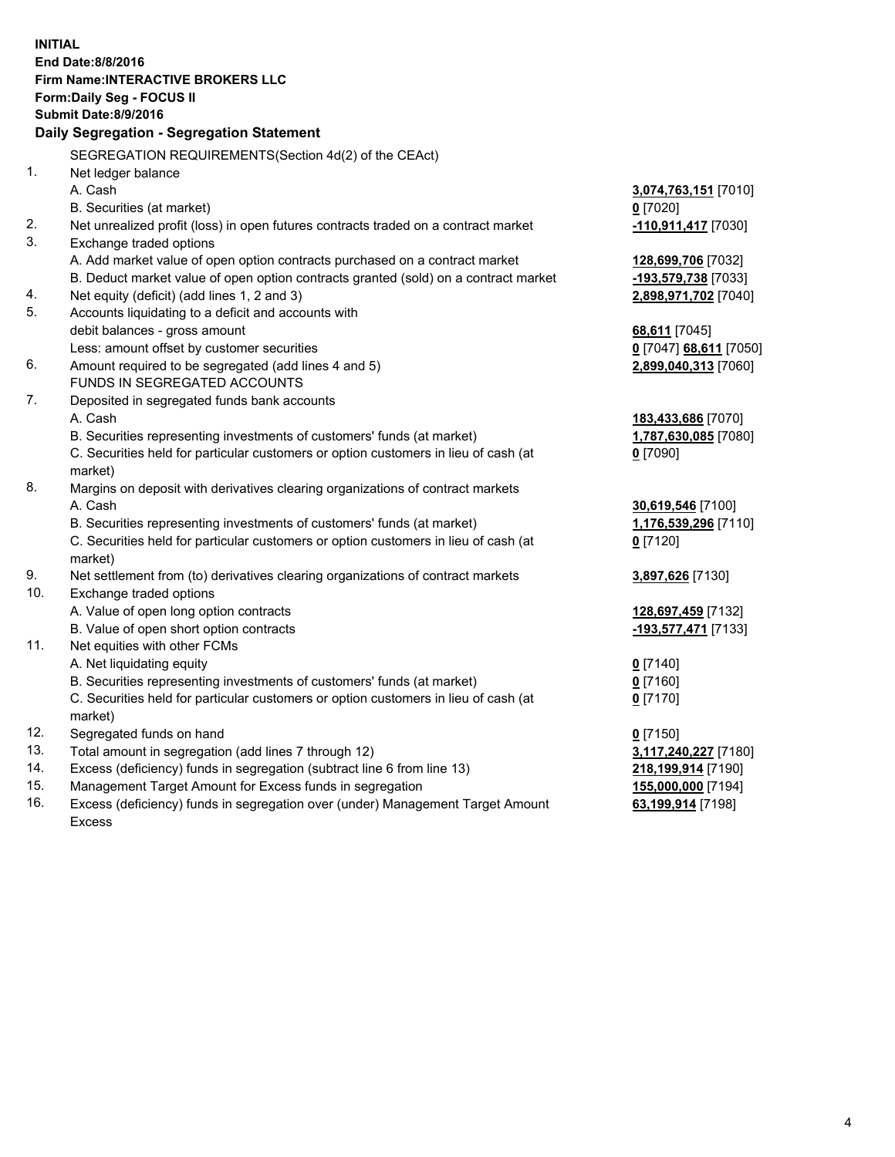**INITIAL End Date:8/8/2016 Firm Name:INTERACTIVE BROKERS LLC Form:Daily Seg - FOCUS II Submit Date:8/9/2016 Daily Segregation - Segregation Statement** SEGREGATION REQUIREMENTS(Section 4d(2) of the CEAct) 1. Net ledger balance A. Cash **3,074,763,151** [7010] B. Securities (at market) **0** [7020] 2. Net unrealized profit (loss) in open futures contracts traded on a contract market **-110,911,417** [7030] 3. Exchange traded options A. Add market value of open option contracts purchased on a contract market **128,699,706** [7032] B. Deduct market value of open option contracts granted (sold) on a contract market **-193,579,738** [7033] 4. Net equity (deficit) (add lines 1, 2 and 3) **2,898,971,702** [7040] 5. Accounts liquidating to a deficit and accounts with debit balances - gross amount **68,611** [7045] Less: amount offset by customer securities **0** [7047] **68,611** [7050] 6. Amount required to be segregated (add lines 4 and 5) **2,899,040,313** [7060] FUNDS IN SEGREGATED ACCOUNTS 7. Deposited in segregated funds bank accounts A. Cash **183,433,686** [7070] B. Securities representing investments of customers' funds (at market) **1,787,630,085** [7080] C. Securities held for particular customers or option customers in lieu of cash (at market) **0** [7090] 8. Margins on deposit with derivatives clearing organizations of contract markets A. Cash **30,619,546** [7100] B. Securities representing investments of customers' funds (at market) **1,176,539,296** [7110] C. Securities held for particular customers or option customers in lieu of cash (at market) **0** [7120] 9. Net settlement from (to) derivatives clearing organizations of contract markets **3,897,626** [7130] 10. Exchange traded options A. Value of open long option contracts **128,697,459** [7132] B. Value of open short option contracts **-193,577,471** [7133] 11. Net equities with other FCMs A. Net liquidating equity **0** [7140] B. Securities representing investments of customers' funds (at market) **0** [7160] C. Securities held for particular customers or option customers in lieu of cash (at market) **0** [7170] 12. Segregated funds on hand **0** [7150] 13. Total amount in segregation (add lines 7 through 12) **3,117,240,227** [7180] 14. Excess (deficiency) funds in segregation (subtract line 6 from line 13) **218,199,914** [7190] 15. Management Target Amount for Excess funds in segregation **155,000,000** [7194] **63,199,914** [7198]

16. Excess (deficiency) funds in segregation over (under) Management Target Amount Excess